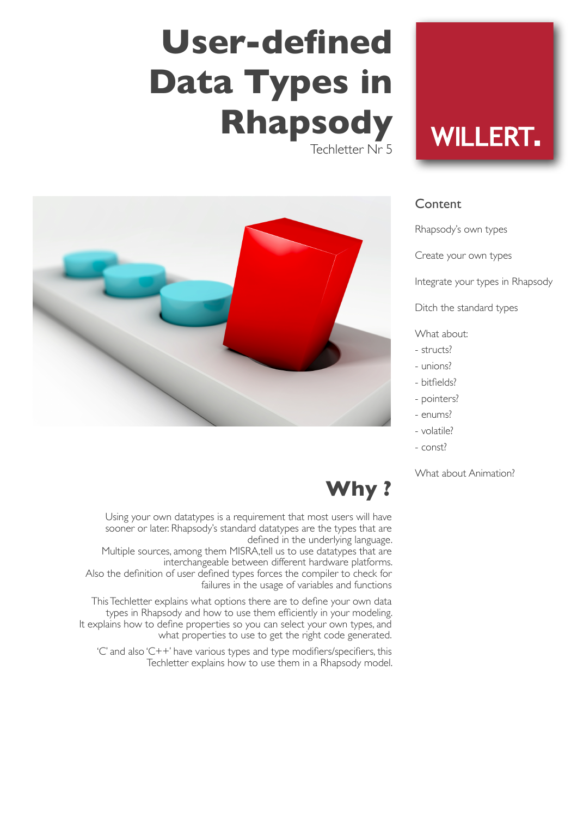# **User-defined Data Types in Rhapsody**

Techletter Nr 5



# **WILLERT.**

### **Content**

Rhapsody's own types

Create your own types

Integrate your types in Rhapsody

Ditch the standard types

What about:

- structs?
- unions?
- bitfields?
- pointers?
- enums?
- volatile?
- const?

#### What about Animation?

# **Why ?**

Using your own datatypes is a requirement that most users will have sooner or later. Rhapsody's standard datatypes are the types that are defined in the underlying language.

Multiple sources, among them MISRA,tell us to use datatypes that are interchangeable between different hardware platforms. Also the definition of user defined types forces the compiler to check for

failures in the usage of variables and functions

This Techletter explains what options there are to define your own data types in Rhapsody and how to use them efficiently in your modeling. It explains how to define properties so you can select your own types, and what properties to use to get the right code generated.

'C' and also 'C++' have various types and type modifiers/specifiers, this Techletter explains how to use them in a Rhapsody model.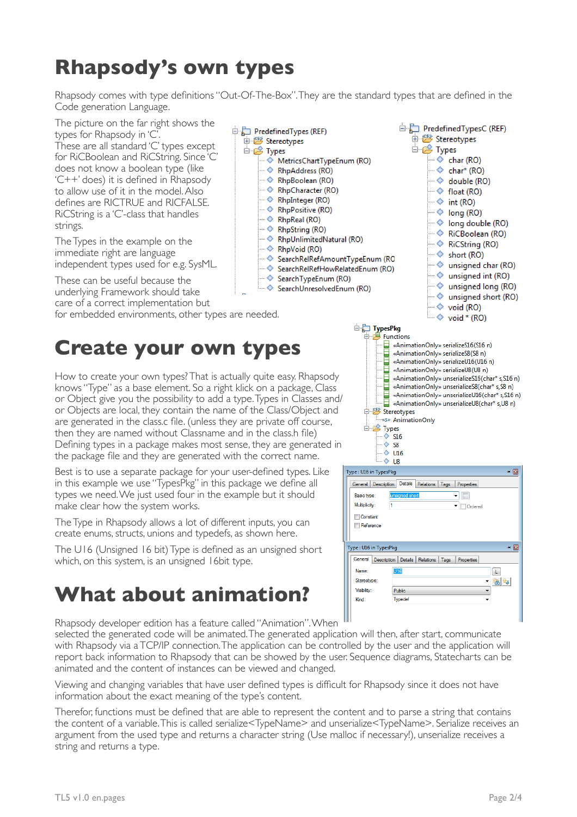## **Rhapsody's own types**

Rhapsody comes with type definitions "Out-Of-The-Box". They are the standard types that are defined in the Code generation Language.

The picture on the far right shows the types for Rhapsody in 'C These are all standard 'C' types except for RiCBoolean and RiCString. Since 'C' does not know a boolean type (like 'C++' does) it is defined in Rhapsody to allow use of it in the model. Also defines are RICTRUE and RICFALSE. RiCString is a 'C'-class that handles strings.

The Types in the example on the immediate right are language independent types used for e.g. SysML.

These can be useful because the underlying Framework should take care of a correct implementation but

for embedded environments, other types are needed.

### **Create your own types**

How to create your own types? That is actually quite easy. Rhapsody knows "Type" as a base element. So a right klick on a package, Class or Object give you the possibility to add a type. Types in Classes and/ or Objects are local, they contain the name of the Class/Object and are generated in the class.c file. (unless they are private off course, then they are named without Classname and in the class.h file) Defining types in a package makes most sense, they are generated in the package file and they are generated with the correct name.

Best is to use a separate package for your user-defined types. Like in this example we use "TypesPkg" in this package we define all types we need. We just used four in the example but it should make clear how the system works.

The Type in Rhapsody allows a lot of different inputs, you can create enums, structs, unions and typedefs, as shown here.

The U16 (Unsigned 16 bit) Type is defined as an unsigned short which, on this system, is an unsigned 16bit type.

### **What about animation?**

Rhapsody developer edition has a feature called "Animation". When

selected the generated code will be animated. The generated application will then, after start, communicate with Rhapsody via a TCP/IP connection. The application can be controlled by the user and the application will report back information to Rhapsody that can be showed by the user. Sequence diagrams, Statecharts can be animated and the content of instances can be viewed and changed.

Viewing and changing variables that have user defined types is difficult for Rhapsody since it does not have information about the exact meaning of the type's content.

Therefor, functions must be defined that are able to represent the content and to parse a string that contains the content of a variable. This is called serialize<TypeName> and unserialize<TypeName>. Serialize receives an argument from the used type and returns a character string (Use malloc if necessary!), unserialize receives a string and returns a type.



□ <mark>□</mark> TypesPkg<br>□ □ □ Functions

- PredefinedTypesC (REF) 由 **Stereotypes ⊟ ⊯** Types  $\Rightarrow$  char (RO)  $\Rightarrow$  char<sup>\*</sup> (RO) ··· ◆ double (RO)  $\Rightarrow$  float (RO)  $\rightarrow$  int (RO)  $\rightarrow$  long (RO) … ◆ long double (RO) — ◆ RiCBoolean (RO)  $\Rightarrow$  short (RO) … ◆ unsigned char (RO)  $\Rightarrow$  unsigned int (RO) … ◆ unsigned long (RO)  $\Rightarrow$  unsigned short (RO)  $\rightarrow$  void (RO)  $\rightarrow$  void \* (RO) «AnimationOnly» serializeS16(S16 n) «AnimationOnly» serializeS8(S8 n) «AnimationOnly» serializeU16(U16 n) «AnimationOnly» serializeU8(U8 n)
- «AnimationOnly» unserializeS16(char\* s,S16 n) «AnimationOnly» unserializeS8(char\* s,S8 n) AnimationOnly> unserializeU16(char\* s,S16 r<br>
«AnimationOnly> unserializeU8(char\* s,U8 n)<br>
Stereotypes «AnimationOnly» unserializeU16(char\* s,S16 n) Stereotypes S» AnimationOnly  $\Rightarrow$  Types  $\overline{\diamond}$  S16  $\diamond$  S8  $\Diamond$  U16  $\Diamond$  U8 Type : U16 in TypesPkg **. 예** General Description Details Relations Tags Properties Basic type:  $\overline{\cdot}$   $\Box$ Multiplicity:  $\overline{\phantom{a}}$  Ordered **Constant** Reference

| Type: U16 in TypesPkg |                                                     |  |
|-----------------------|-----------------------------------------------------|--|
| General               | Description Details Relations<br>Tags<br>Properties |  |
| Name:                 | U <sub>16</sub>                                     |  |
| Stereotype:           |                                                     |  |
| Visibility:           | Public                                              |  |
| Kind:                 | Typedef                                             |  |
|                       |                                                     |  |
|                       |                                                     |  |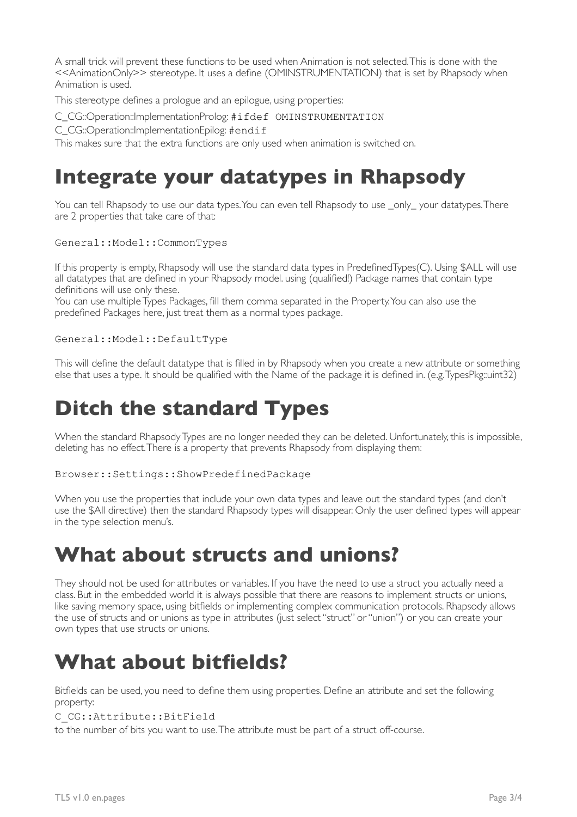A small trick will prevent these functions to be used when Animation is not selected. This is done with the <<AnimationOnly>> stereotype. It uses a define (OMINSTRUMENTATION) that is set by Rhapsody when Animation is used.

This stereotype defines a prologue and an epilogue, using properties:

- C\_CG::Operation::ImplementationProlog: #ifdef OMINSTRUMENTATION
- C\_CG::Operation::ImplementationEpilog: #endif

This makes sure that the extra functions are only used when animation is switched on.

### **Integrate your datatypes in Rhapsody**

You can tell Rhapsody to use our data types. You can even tell Rhapsody to use \_only\_your datatypes. There are 2 properties that take care of that:

#### General::Model::CommonTypes

If this property is empty, Rhapsody will use the standard data types in PredefinedTypes(C). Using \$ALL will use all datatypes that are defined in your Rhapsody model. using (qualified!) Package names that contain type definitions will use only these.

You can use multiple Types Packages, fill them comma separated in the Property. You can also use the predefined Packages here, just treat them as a normal types package.

#### General::Model::DefaultType

This will define the default datatype that is filled in by Rhapsody when you create a new attribute or something else that uses a type. It should be qualified with the Name of the package it is defined in. (e.g. TypesPkg::uint32)

### **Ditch the standard Types**

When the standard Rhapsody Types are no longer needed they can be deleted. Unfortunately, this is impossible, deleting has no effect. There is a property that prevents Rhapsody from displaying them:

Browser::Settings::ShowPredefinedPackage

When you use the properties that include your own data types and leave out the standard types (and don't use the \$All directive) then the standard Rhapsody types will disappear. Only the user defined types will appear in the type selection menu's.

### **What about structs and unions?**

They should not be used for attributes or variables. If you have the need to use a struct you actually need a class. But in the embedded world it is always possible that there are reasons to implement structs or unions, like saving memory space, using bitfields or implementing complex communication protocols. Rhapsody allows the use of structs and or unions as type in attributes (just select "struct" or "union") or you can create your own types that use structs or unions.

### **What about bitfields?**

Bitfields can be used, you need to define them using properties. Define an attribute and set the following property:

#### C\_CG::Attribute::BitField

to the number of bits you want to use. The attribute must be part of a struct off-course.